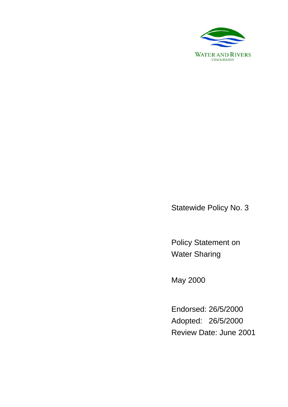

Statewide Policy No. 3

Policy Statement on Water Sharing

May 2000

Endorsed: 26/5/2000 Adopted: 26/5/2000 Review Date: June 2001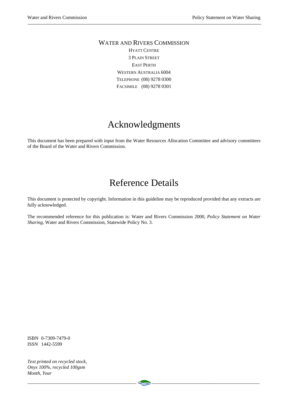#### WATER AND RIVERS COMMISSION HYATT CENTRE 3 PLAIN STREET EAST PERTH WESTERN AUSTRALIA 6004 TELEPHONE (08) 9278 0300

FACSIMILE (08) 9278 0301

### Acknowledgments

This document has been prepared with input from the Water Resources Allocation Committee and advisory committees of the Board of the Water and Rivers Commission.

### Reference Details

This document is protected by copyright. Information in this guideline may be reproduced provided that any extracts are fully acknowledged.

The recommended reference for this publication is: Water and Rivers Commission 2000, *Policy Statement on Water Sharing*, Water and Rivers Commission, Statewide Policy No. 3.

ISBN 0-7309-7479-0 ISSN 1442-5599

*Text printed on recycled stock, Onyx 100%, recycled 100gsm Month, Year*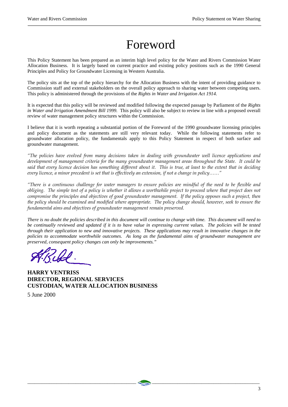# Foreword

This Policy Statement has been prepared as an interim high level policy for the Water and Rivers Commission Water Allocation Business. It is largely based on current practice and existing policy positions such as the 1990 General Principles and Policy for Groundwater Licensing in Western Australia.

The policy sits at the top of the policy hierarchy for the Allocation Business with the intent of providing guidance to Commission staff and external stakeholders on the overall policy approach to sharing water between competing users. This policy is administered through the provisions of the *Rights in Water and Irrigation Act 1914.*

It is expected that this policy will be reviewed and modified following the expected passage by Parliament of the *Rights in Water and Irrigation Amendment Bill 1999.* This policy will also be subject to review in line with a proposed overall review of water management policy structures within the Commission.

I believe that it is worth repeating a substantial portion of the Foreword of the 1990 groundwater licensing principles and policy document as the statements are still very relevant today. While the following statements refer to groundwater allocation policy, the fundamentals apply to this Policy Statement in respect of both surface and groundwater management.

*"The policies have evolved from many decisions taken in dealing with groundwater well licence applications and development of management criteria for the many groundwater management areas throughout the State. It could be said that every licence decision has something different about it. This is true, at least to the extent that in deciding every licence, a minor precedent is set that is effectively an extension, if not a change in policy……"* 

*"There is a continuous challenge for water managers to ensure policies are mindful of the need to be flexible and obliging. The simple test of a policy is whether it allows a worthwhile project to proceed where that project does not compromise the principles and objectives of good groundwater management. If the policy opposes such a project, then the policy should be examined and modified where appropriate. The policy change should, however, seek to ensure the fundamental aims and objectives of groundwater management remain preserved.* 

*There is no doubt the policies described in this document will continue to change with time. This document will need to be continually reviewed and updated if it is to have value in expressing current values. The policies will be tested through their application to new and innovative projects. These applications may result in innovative changes in the policies to accommodate worthwhile outcomes. As long as the fundamental aims of groundwater management are preserved, consequent policy changes can only be improvements."* 

 $\quad \, \triangleq$  . The contract of the contract of the contract of the contract of the contract of the contract of the contract of the contract of the contract of the contract of the contract of the contract of the contract of t

**HARRY VENTRISS DIRECTOR, REGIONAL SERVICES CUSTODIAN, WATER ALLOCATION BUSINESS** 

5 June 2000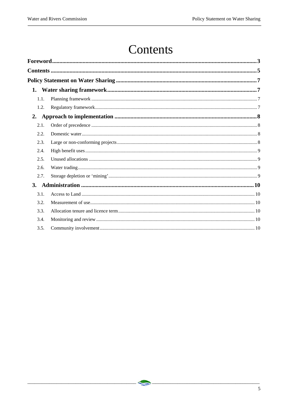## Contents

| 1.1.      |  |  |
|-----------|--|--|
| 1.2.      |  |  |
| 2.        |  |  |
| 2.1.      |  |  |
| 2.2.      |  |  |
| 2.3.      |  |  |
| 2.4.      |  |  |
| 2.5.      |  |  |
| 2.6.      |  |  |
| 2.7.      |  |  |
| <b>3.</b> |  |  |
| 3.1.      |  |  |
| 3.2.      |  |  |
| 3.3.      |  |  |
| 3.4.      |  |  |
| 3.5.      |  |  |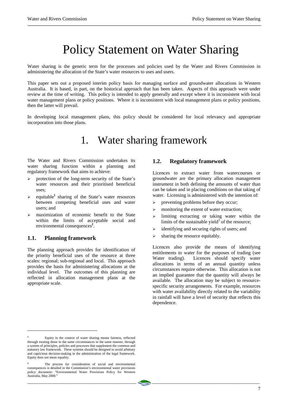## Policy Statement on Water Sharing

Water sharing is the generic term for the processes and policies used by the Water and Rivers Commission in administering the allocation of the State's water resources to uses and users.

This paper sets out a proposed interim policy basis for managing surface and groundwater allocations in Western Australia. It is based, in part, on the historical approach that has been taken. Aspects of this approach were under review at the time of writing. This policy is intended to apply generally and except where it is inconsistent with local water management plans or policy positions. Where it is inconsistent with local management plans or policy positions, then the latter will prevail.

In developing local management plans, this policy should be considered for local relevancy and appropriate incorporation into those plans.

### 1. Water sharing framework

The Water and Rivers Commission undertakes its water sharing function within a planning and regulatory framework that aims to achieve:

- ¾ protection of the long-term security of the State's water resources and their prioritised beneficial uses;
- $\geq$  equitable<sup>1</sup> sharing of the State's water resources between competing beneficial uses and water users; and
- ¾ maximization of economic benefit to the State within the limits of acceptable social and environmental consequences**<sup>2</sup>** .

#### **1.1. Planning framework**

 $\overline{a}$ 

The planning approach provides for identification of the priority beneficial uses of the resource at three scales: regional; sub-regional and local. This approach provides the basis for administering allocations at the individual level. The outcomes of this planning are reflected in allocation management plans at the appropriate scale.

#### **1.2. Regulatory framework**

Licences to extract water from watercourses or groundwater are the primary allocation management instrument in both defining the amounts of water than can be taken and in placing conditions on that taking of water. Licensing is administered with the intention of:

- $\triangleright$  preventing problems before they occur;
- $\geq$  monitoring the extent of water extraction;
- $\geq$  limiting extracting or taking water within the limits of the sustainable yield $3$  of the resource;
- $\triangleright$  identifying and securing rights of users; and
- $\triangleright$  sharing the resource equitably.

Licences also provide the means of identifying entitlements to water for the purposes of trading (see Water trading). Licences should specify water allocations in terms of an annual quantity unless circumstances require otherwise. This allocation is not an implied guarantee that the quantity will always be available. The allocation may be subject to resourcespecific security arrangements. For example, resources with water availability directly related to the variability in rainfall will have a level of security that reflects this dependence.

**<sup>1</sup>** Equity in the context of water sharing means fairness, reflected through treating those in the same circumstances in the same manner, through a system of principles, policies and processes that supplement the common and statutory law framework. These systems should be designed to avoid arbitrary and capricious decision-making in the administration of the legal framework. Equity does not mean equality.

**<sup>2</sup>** The process for consideration of social and environmental consequences is detailed in the Commission's environmental water provisions policy document: "Environmental Water Provisions Policy for Western Australia, May 2000."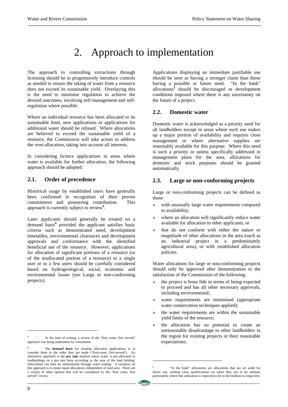### 2. Approach to implementation

The approach to controlling extractions through licensing should be to progressively introduce controls as needed to ensure the taking of water from a resource does not exceed its sustainable yield. Overlaying this is the need to minimise regulation to achieve the desired outcomes, involving self-management and selfregulation where possible.

Where an individual resource has been allocated to its sustainable limit, new applications or applications for additional water should be refused. Where allocations are believed to exceed the sustainable yield of a resource, the Commission will take action to address the over-allocation, taking into account all interests.

In considering licence applications in areas where water is available for further allocation, the following approach should be adopted:

#### **2.1. Order of precedence**

Historical usage by established users have generally been confirmed in recognition of their proven commitment and pioneering contribution. This approach is currently subject to review**<sup>3</sup>** .

Later applicants should generally be treated on a demand basis**<sup>4</sup>** provided the applicant satisfies basic criteria such as demonstrated need, development timetables, environmental clearances and development approvals and conformance with the identified beneficial use of the resource. However, applications for allocation of significant portions of a resource (or of the unallocated portion of a resource) to a single user or to a few users should be carefully considered based on hydrogeological, social, economic and environmental issues (see Large or non-conforming projects).

Applications displaying an immediate justifiable use should be seen as having a stronger claim than those having a possible or future need. "In the bank" allocations**<sup>5</sup>** should be discouraged or development conditions imposed where there is any uncertainty on the future of a project.

#### **2.2. Domestic water**

Domestic water is acknowledged as a priority need for all landholders except in areas where such use makes up a major portion of availability and requires close management or where alternative supplies are reasonably available for this purpose. Where this need is such a priority or unless specifically addressed in management plans for the area, allocations for domestic and stock purposes should be granted automatically.

#### **2.3. Large or non-conforming projects**

Large or non-conforming projects can be defined as those:

- with unusually large water requirements compared to availability;
- $\triangleright$  where an allocation will significantly reduce water available for allocation to other applicants; or
- ¾ that do not conform with either the nature or magnitude of other allocations in the area (such as an industrial project in a predominantly agricultural area), or with established allocation policies.

Water allocations for large or non-conforming projects should only be approved after demonstration to the satisfaction of the Commission of the following:

- the project is bona fide in terms of being expected to proceed and has all other necessary approvals, including environmental;
- water requirements are minimised (appropriate water conservation techniques applied);
- $\triangleright$  the water requirements are within the sustainable yield limits of the resource;
- ¾ the allocation has no potential to create an unreasonable disadvantage to other landholders in the region for existing projects or their reasonable expectations;

1

 $\overline{a}$ 

**<sup>3</sup>** At the time of writing, a review of the "first come, first served" approach was being undertaken by consultants.

**<sup>4</sup>** The *demand basis* for treating allocation applications is to consider them in the order they are made ('first-come, first-served'). An alternative approach is the *pro rata* method where water is pre-allocated to landholdings on a pro rata basis according to the area of the land holding. Allocations can then be redistributed through water trading. A variation on this approach is to make equal allocations independent of land area. There are a variety of other options that will be considered by the "first come, first served" review.

**<sup>5</sup>** "In the bank" allocations are allocations that are set aside for future use, without clear qualifications on when they are to be utilised, particularly where that utilisation is expected to be in the medium to long-term.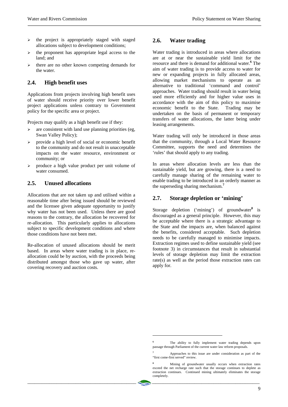- $\geq$  the project is appropriately staged with staged allocations subject to development conditions;
- the proponent has appropriate legal access to the land; and
- $\triangleright$  there are no other known competing demands for the water.

#### **2.4. High benefit uses**

Applications from projects involving high benefit uses of water should receive priority over lower benefit project applications unless contrary to Government policy for the specific area or project.

Projects may qualify as a high benefit use if they:

- $\geq$  are consistent with land use planning priorities (eg, Swan Valley Policy);
- $\triangleright$  provide a high level of social or economic benefit to the community and do not result in unacceptable impacts on the water resource, environment or community; or
- $\triangleright$  produce a high value product per unit volume of water consumed.

#### **2.5. Unused allocations**

Allocations that are not taken up and utilised within a reasonable time after being issued should be reviewed and the licensee given adequate opportunity to justify why water has not been used. Unless there are good reasons to the contrary, the allocation be recovered for re-allocation. This particularly applies to allocations subject to specific development conditions and where those conditions have not been met.

Re-allocation of unused allocations should be merit based. In areas where water trading is in place, reallocation could be by auction, with the proceeds being distributed amongst those who gave up water, after covering recovery and auction costs.

#### **2.6. Water trading**

Water trading is introduced in areas where allocations are at or near the sustainable yield limit for the resource and there is demand for additional water.**<sup>6</sup>** The aim of water trading is to provide access to water for new or expanding projects in fully allocated areas, allowing market mechanisms to operate as an alternative to traditional 'command and control' approaches. Water trading should result in water being used more efficiently and for higher value uses in accordance with the aim of this policy to maximise economic benefit to the State. Trading may be undertaken on the basis of permanent or temporary transfers of water allocations, the latter being under leasing arrangements.

Water trading will only be introduced in those areas that the community, through a Local Water Resource Committee, supports the need and determines the 'rules' that should apply to any trading.

In areas where allocation levels are less than the sustainable yield, but are growing, there is a need to carefully manage sharing of the remaining water to enable trading to be introduced in an orderly manner as the superseding sharing mechanism.**<sup>7</sup>**

#### **2.7. Storage depletion or 'mining'**

Storage depletion ('mining') of groundwater**<sup>8</sup>** is discouraged as a general principle. However, this may be acceptable where there is a strategic advantage to the State and the impacts are, when balanced against the benefits, considered acceptable. Such depletion needs to be carefully managed to minimise impacts. Extraction regimes used to define sustainable yield (see footnote 3) in circumstances that result in substantial levels of storage depletion may limit the extraction rate(s) as well as the period those extraction rates can apply for.

1

**<sup>6</sup>** The ability to fully implement water trading depends upon passage through Parliament of the current water law reform proposals.

**<sup>7</sup>** Approaches to this issue are under consideration as part of the "first come-first served" review.

**<sup>8</sup>** Mining of groundwater usually occurs when extraction rates exceed the net recharge rate such that the storage continues to deplete as extraction continues. Continued mining ultimately eliminates the storage completely.